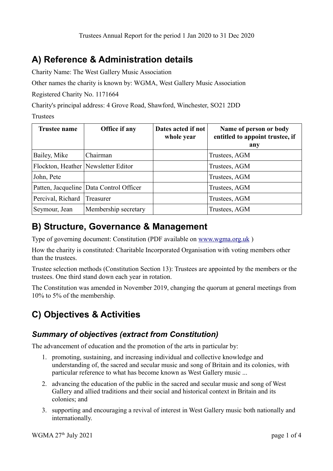## **A) Reference & Administration details**

Charity Name: The West Gallery Music Association

Other names the charity is known by: WGMA, West Gallery Music Association

Registered Charity No. 1171664

Charity's principal address: 4 Grove Road, Shawford, Winchester, SO21 2DD

Trustees

| <b>Trustee name</b> | Office if any                             | Dates acted if not<br>whole year | Name of person or body<br>entitled to appoint trustee, if<br>any |
|---------------------|-------------------------------------------|----------------------------------|------------------------------------------------------------------|
| Bailey, Mike        | Chairman                                  |                                  | Trustees, AGM                                                    |
|                     | Flockton, Heather   Newsletter Editor     |                                  | Trustees, AGM                                                    |
| John, Pete          |                                           |                                  | Trustees, AGM                                                    |
|                     | Patten, Jacqueline   Data Control Officer |                                  | Trustees, AGM                                                    |
| Percival, Richard   | Treasurer                                 |                                  | Trustees, AGM                                                    |
| Seymour, Jean       | Membership secretary                      |                                  | Trustees, AGM                                                    |

### **B) Structure, Governance & Management**

Type of governing document: Constitution (PDF available on [www.wgma.org.uk](http://www.wgma.org.uk/) )

How the charity is constituted: Charitable Incorporated Organisation with voting members other than the trustees.

Trustee selection methods (Constitution Section 13): Trustees are appointed by the members or the trustees. One third stand down each year in rotation.

The Constitution was amended in November 2019, changing the quorum at general meetings from 10% to 5% of the membership.

# **C) Objectives & Activities**

#### *Summary of objectives (extract from Constitution)*

The advancement of education and the promotion of the arts in particular by:

- 1. promoting, sustaining, and increasing individual and collective knowledge and understanding of, the sacred and secular music and song of Britain and its colonies, with particular reference to what has become known as West Gallery music ...
- 2. advancing the education of the public in the sacred and secular music and song of West Gallery and allied traditions and their social and historical context in Britain and its colonies; and
- 3. supporting and encouraging a revival of interest in West Gallery music both nationally and internationally.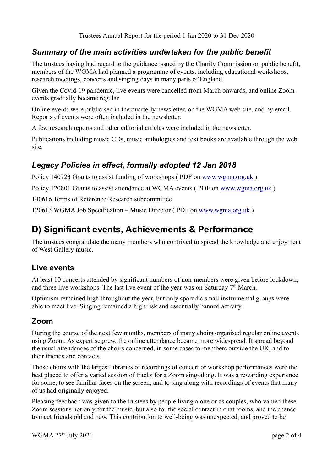#### *Summary of the main activities undertaken for the public benefit*

The trustees having had regard to the guidance issued by the Charity Commission on public benefit, members of the WGMA had planned a programme of events, including educational workshops, research meetings, concerts and singing days in many parts of England.

Given the Covid-19 pandemic, live events were cancelled from March onwards, and online Zoom events gradually became regular.

Online events were publicised in the quarterly newsletter, on the WGMA web site, and by email. Reports of events were often included in the newsletter.

A few research reports and other editorial articles were included in the newsletter.

Publications including music CDs, music anthologies and text books are available through the web site.

#### *Legacy Policies in effect, formally adopted 12 Jan 2018*

Policy 140723 Grants to assist funding of workshops ( PDF on [www.wgma.org.uk](http://www.wgma.org.uk/) )

Policy 120801 Grants to assist attendance at WGMA events ( PDF on [www.wgma.org.uk](http://www.wgma.org.uk/) )

140616 Terms of Reference Research subcommittee

120613 WGMA Job Specification – Music Director ( PDF on [www.wgma.org.uk](http://www.wgma.org.uk/) )

### **D) Significant events, Achievements & Performance**

The trustees congratulate the many members who contrived to spread the knowledge and enjoyment of West Gallery music.

#### **Live events**

At least 10 concerts attended by significant numbers of non-members were given before lockdown, and three live workshops. The last live event of the year was on Saturday  $7<sup>th</sup>$  March.

Optimism remained high throughout the year, but only sporadic small instrumental groups were able to meet live. Singing remained a high risk and essentially banned activity.

#### **Zoom**

During the course of the next few months, members of many choirs organised regular online events using Zoom. As expertise grew, the online attendance became more widespread. It spread beyond the usual attendances of the choirs concerned, in some cases to members outside the UK, and to their friends and contacts.

Those choirs with the largest libraries of recordings of concert or workshop performances were the best placed to offer a varied session of tracks for a Zoom sing-along. It was a rewarding experience for some, to see familiar faces on the screen, and to sing along with recordings of events that many of us had originally enjoyed.

Pleasing feedback was given to the trustees by people living alone or as couples, who valued these Zoom sessions not only for the music, but also for the social contact in chat rooms, and the chance to meet friends old and new. This contribution to well-being was unexpected, and proved to be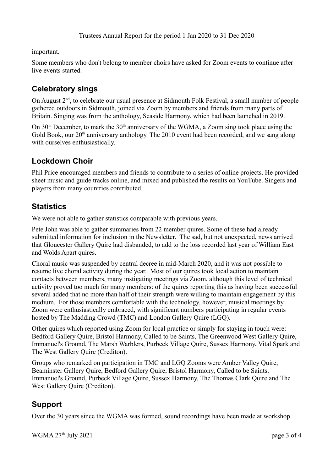important.

Some members who don't belong to member choirs have asked for Zoom events to continue after live events started.

#### **Celebratory sings**

On August 2<sup>nd</sup>, to celebrate our usual presence at Sidmouth Folk Festival, a small number of people gathered outdoors in Sidmouth, joined via Zoom by members and friends from many parts of Britain. Singing was from the anthology, Seaside Harmony, which had been launched in 2019.

On  $30<sup>th</sup>$  December, to mark the  $30<sup>th</sup>$  anniversary of the WGMA, a Zoom sing took place using the Gold Book, our  $20<sup>th</sup>$  anniversary anthology. The  $2010$  event had been recorded, and we sang along with ourselves enthusiastically.

#### **Lockdown Choir**

Phil Price encouraged members and friends to contribute to a series of online projects. He provided sheet music and guide tracks online, and mixed and published the results on YouTube. Singers and players from many countries contributed.

#### **Statistics**

We were not able to gather statistics comparable with previous years.

Pete John was able to gather summaries from 22 member quires. Some of these had already submitted information for inclusion in the Newsletter. The sad, but not unexpected, news arrived that Gloucester Gallery Quire had disbanded, to add to the loss recorded last year of William East and Wolds Apart quires.

Choral music was suspended by central decree in mid-March 2020, and it was not possible to resume live choral activity during the year. Most of our quires took local action to maintain contacts between members, many instigating meetings via Zoom, although this level of technical activity proved too much for many members: of the quires reporting this as having been successful several added that no more than half of their strength were willing to maintain engagement by this medium. For those members comfortable with the technology, however, musical meetings by Zoom were enthusiastically embraced, with significant numbers participating in regular events hosted by The Madding Crowd (TMC) and London Gallery Quire (LGQ).

Other quires which reported using Zoom for local practice or simply for staying in touch were: Bedford Gallery Quire, Bristol Harmony, Called to be Saints, The Greenwood West Gallery Quire, Immanuel's Ground, The Marsh Warblers, Purbeck Village Quire, Sussex Harmony, Vital Spark and The West Gallery Quire (Crediton).

Groups who remarked on participation in TMC and LGQ Zooms were Amber Valley Quire, Beaminster Gallery Quire, Bedford Gallery Quire, Bristol Harmony, Called to be Saints, Immanuel's Ground, Purbeck Village Quire, Sussex Harmony, The Thomas Clark Quire and The West Gallery Quire (Crediton).

#### **Support**

Over the 30 years since the WGMA was formed, sound recordings have been made at workshop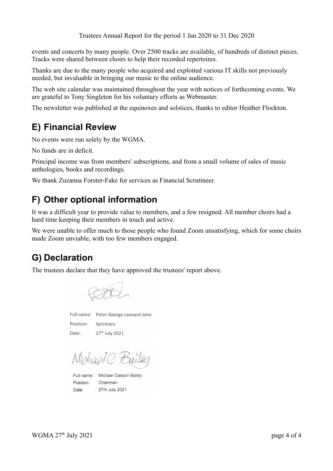Trustees Annual Report for the period 1 Jan 2020 to 31 Dec 2020

events and concerts by many people. Over 2500 tracks are available, of hundreds of distinct pieces. Tracks were shared between choirs to help their recorded repertoires.

Thanks are due to the many people who acquired and exploited various IT skills not previously needed, but invaluable in bringing our music to the online audience.

The web site calendar was maintained throughout the year with notices of forthcoming events. We are grateful to Tony Singleton for his voluntary efforts as Webmaster.

The newsletter was published at the equinoxes and solstices, thanks to editor Heather Flockton.

### **E) Financial Review**

No events were run solely by the WGMA.

No funds are in deficit.

Principal income was from members' subscriptions, and from a small volume of sales of music anthologies, books and recordings.

We thank Zuzanna Forster-Fake for services as Financial Scrutineer.

### **F) Other optional information**

It was a difficult year to provide value to members, and a few resigned. All member choirs had a hard time keeping their members in touch and active.

We were unable to offer much to those people who found Zoom unsatisfying, which for some choirs made Zoom unviable, with too few members engaged.

### **G) Declaration**

The trustees declare that they have approved the trustees' report above.

Full name: Peter George Leonard John Position: Secretary 27<sup>th</sup> July 2021 Date:

Michael C. Bailee

Full name: Michael Casson Bailey Chairman Position: Date: 27rh July 2021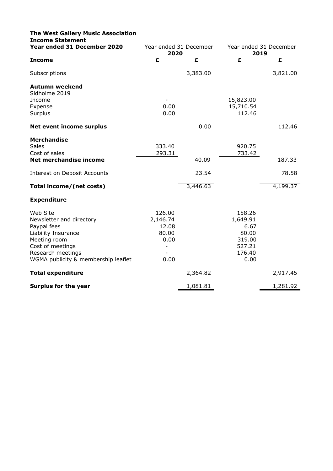| <b>The West Gallery Music Association</b><br><b>Income Statement</b> |                                                                  |          |           |          |
|----------------------------------------------------------------------|------------------------------------------------------------------|----------|-----------|----------|
| Year ended 31 December 2020                                          | Year ended 31 December<br>Year ended 31 December<br>2020<br>2019 |          |           |          |
| <b>Income</b>                                                        | £                                                                | £        | £         | £        |
| Subscriptions                                                        |                                                                  | 3,383.00 |           | 3,821.00 |
| <b>Autumn weekend</b><br>Sidholme 2019                               |                                                                  |          |           |          |
| Income                                                               |                                                                  |          | 15,823.00 |          |
| Expense                                                              | 0.00                                                             |          | 15,710.54 |          |
| Surplus                                                              | 0.00                                                             |          | 112.46    |          |
| <b>Net event income surplus</b>                                      |                                                                  | 0.00     |           | 112.46   |
| <b>Merchandise</b>                                                   |                                                                  |          |           |          |
| <b>Sales</b>                                                         | 333.40                                                           |          | 920.75    |          |
| Cost of sales                                                        | 293.31                                                           |          | 733.42    |          |
| Net merchandise income                                               |                                                                  | 40.09    |           | 187.33   |
| Interest on Deposit Accounts                                         |                                                                  | 23.54    |           | 78.58    |
| Total income/(net costs)                                             |                                                                  | 3,446.63 |           | 4,199.37 |
| <b>Expenditure</b>                                                   |                                                                  |          |           |          |
| Web Site                                                             | 126.00                                                           |          | 158.26    |          |
| Newsletter and directory                                             | 2,146.74                                                         |          | 1,649.91  |          |
| Paypal fees                                                          | 12.08                                                            |          | 6.67      |          |
| Liability Insurance                                                  | 80.00                                                            |          | 80.00     |          |
| Meeting room                                                         | 0.00                                                             |          | 319.00    |          |
| Cost of meetings                                                     |                                                                  |          | 527.21    |          |
| Research meetings                                                    |                                                                  |          | 176.40    |          |
| WGMA publicity & membership leaflet                                  | 0.00                                                             |          | 0.00      |          |
| <b>Total expenditure</b>                                             |                                                                  | 2,364.82 |           | 2,917.45 |
| <b>Surplus for the year</b>                                          |                                                                  | 1,081.81 |           | 1,281.92 |